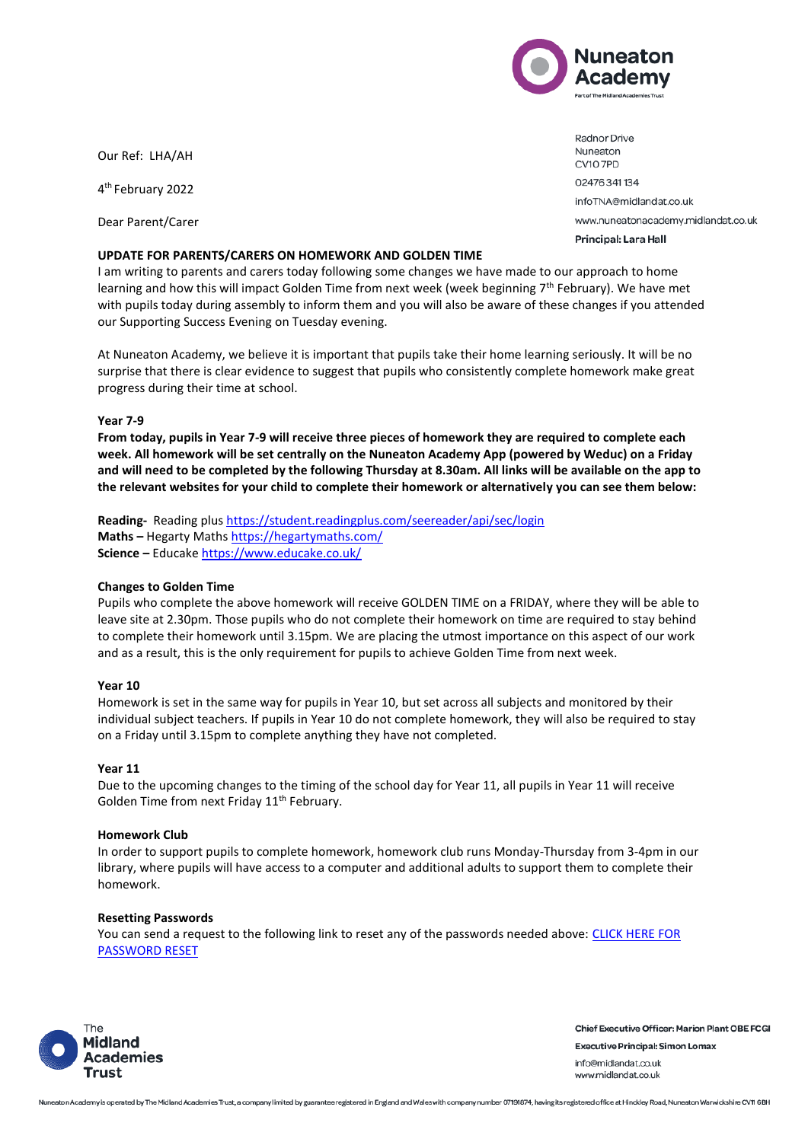

Our Ref: LHA/AH

4 th February 2022

Dear Parent/Carer

#### **UPDATE FOR PARENTS/CARERS ON HOMEWORK AND GOLDEN TIME**

02476341134 infoTNA@midlandat.co.uk www.nuneatonacademy.midlandat.co.uk Principal: Lara Hall

Radnor Drive Nuneaton **CV10 7PD** 

I am writing to parents and carers today following some changes we have made to our approach to home learning and how this will impact Golden Time from next week (week beginning 7<sup>th</sup> February). We have met with pupils today during assembly to inform them and you will also be aware of these changes if you attended our Supporting Success Evening on Tuesday evening.

At Nuneaton Academy, we believe it is important that pupils take their home learning seriously. It will be no surprise that there is clear evidence to suggest that pupils who consistently complete homework make great progress during their time at school.

### **Year 7-9**

**From today, pupils in Year 7-9 will receive three pieces of homework they are required to complete each week. All homework will be set centrally on the Nuneaton Academy App (powered by Weduc) on a Friday and will need to be completed by the following Thursday at 8.30am. All links will be available on the app to the relevant websites for your child to complete their homework or alternatively you can see them below:**

Reading- Reading plus <https://student.readingplus.com/seereader/api/sec/login> **Maths –** Hegarty Maths <https://hegartymaths.com/> **Science –** Educake <https://www.educake.co.uk/>

### **Changes to Golden Time**

Pupils who complete the above homework will receive GOLDEN TIME on a FRIDAY, where they will be able to leave site at 2.30pm. Those pupils who do not complete their homework on time are required to stay behind to complete their homework until 3.15pm. We are placing the utmost importance on this aspect of our work and as a result, this is the only requirement for pupils to achieve Golden Time from next week.

### **Year 10**

Homework is set in the same way for pupils in Year 10, but set across all subjects and monitored by their individual subject teachers. If pupils in Year 10 do not complete homework, they will also be required to stay on a Friday until 3.15pm to complete anything they have not completed.

### **Year 11**

Due to the upcoming changes to the timing of the school day for Year 11, all pupils in Year 11 will receive Golden Time from next Friday 11<sup>th</sup> February.

### **Homework Club**

In order to support pupils to complete homework, homework club runs Monday-Thursday from 3-4pm in our library, where pupils will have access to a computer and additional adults to support them to complete their homework.

### **Resetting Passwords**

You can send a request to the following link to reset any of the passwords needed above: [CLICK HERE FOR](http://forms.office.com/Pages/ResponsePage.aspx?id=JjyPPym580-nQUQJKG6wb_gdq_RNtCxLpG_9hzSbssdUQ0MzQUNZUlZGUkE5NDQyNzc4NkRIN05LNy4u)  [PASSWORD RESET](http://forms.office.com/Pages/ResponsePage.aspx?id=JjyPPym580-nQUQJKG6wb_gdq_RNtCxLpG_9hzSbssdUQ0MzQUNZUlZGUkE5NDQyNzc4NkRIN05LNy4u) 



**Chief Executive Officer: Marion Plant OBE FCGI Executive Principal: Simon Lomax** info@midlandat.co.uk www.midlandat.co.uk